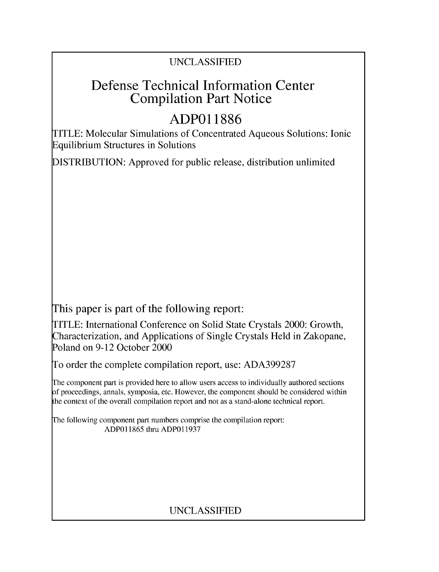## UNCLASSIFIED

# **Defense Technical Information Center Compilation Part Notice**

# **ADPO1 1886**

TITLE: Molecular Simulations of Concentrated Aqueous Solutions: Ionic Equilibrium Structures in Solutions

DISTRIBUTION: Approved for public release, distribution unlimited

This paper is part of the following report:

TITLE: International Conference on Solid State Crystals 2000: Growth, Characterization, and Applications of Single Crystals Held in Zakopane, Poland on 9-12 October 2000

To order the complete compilation report, use: ADA399287

The component part is provided here to allow users access to individually authored sections f proceedings, annals, symposia, etc. However, the component should be considered within [he context of the overall compilation report and not as a stand-alone technical report.

The following component part numbers comprise the compilation report: ADP011865 thru ADP011937

## UNCLASSIFIED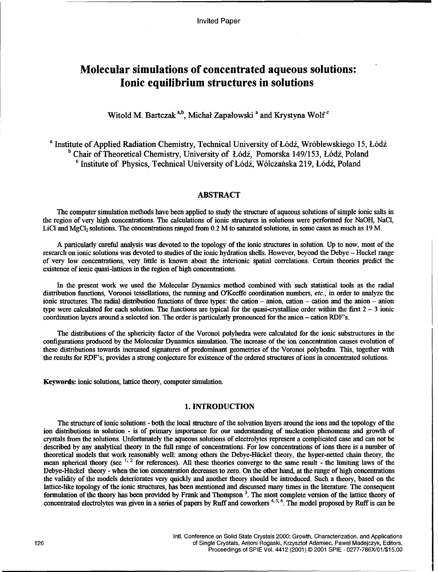### **Molecular simulations of concentrated aqueous solutions: Ionic equilibrium structures in solutions**

### Witold M. Bartczak<sup>a,b</sup>, Michał Zapałowski<sup>a</sup> and Krystyna Wolf<sup>c</sup>

<sup>a</sup> Institute of Applied Radiation Chemistry, Technical University of Łódź, Wróblewskiego 15, Łódź **b** Chair of Theoretical Chemistry, University of *Lódź*, Pomorska 149/153, *Lódź*, Poland <sup>c</sup> Institute of Physics, Technical University of Łódź, Wólczańska 219, Łódź, Poland

#### ABSTRACT

The computer simulation methods have been applied to study the structure of aqueous solutions of simple ionic salts in the region of very high concentrations. The calculations of ionic structures in solutions were performed for NaOH, NaC1, LiCl and MgCl<sub>2</sub> solutions. The concentrations ranged from 0.2 M to saturated solutions, in some cases as much as 19 M.

A particularly careful analysis was devoted to the topology of the ionic structures in solution. Up to now, most of the research on ionic solutions was devoted to studies of the ionic hydration shells. However, beyond the Debye - Huckel range of very low concentrations, very little is known about the interionic spatial correlations. Certain theories predict the existence of ionic quasi-lattices in the region of high concentrations.

In the present work we used the Molecular Dynamics method combined with such statistical tools as the radial distribution functions, Voronoi tessellations, the running and O'Keeffe coordination numbers, etc., in order to analyze the ionic structures. The radial distribution functions of three types: the cation - anion, cation - cation and the anion - anion type were calculated for each solution. The functions are typical for the quasi-crystalline order within the first  $2 - 3$  ionic coordination layers around a selected ion. The order is particularly pronounced for the anion - cation RDF's.

The distributions of the sphericity factor of the Voronoi polyhedra were calculated for the ionic substructures in the configurations produced by the Molecular Dynamics simulation. The increase of the ion concentration causes evolution of these distributions towards increased signatures of predominant geometries of the Voronoi polyhedra. This, together with the results for RDF's, provides a strong conjecture for existence of the ordered structures of ions in concentrated solutions.

Keywords: ionic solutions, lattice theory, computer simulation.

#### **1. INTRODUCTION**

The structure of ionic solutions **-** both the local structure of the solvation layers around the ions and the topology of the ion distributions in solution **-** is of primary importance for our understanding of nucleation phenomena and growth of crystals from the solutions. Unfortunately the aqueous solutions of electrolytes represent a complicated case and can not be described **by** any analytical theory in the full range of concentrations. For low concentrations of ions there is a number of theoretical models that work reasonably well: among others the Debye-Huckel theory, the hyper-netted chain theory, the mean spherical theory (see <sup>1, 2</sup> for references). All these theories converge to the same result - the limiting laws of the Debye-Huickel theory - when the ion concentration decreases to zero. On the other hand, at the range of high concentrations the validity of the models deteriorates very quickly and another theory should be introduced. Such a theory, based on the lattice-like topology of the ionic structures, has been mentioned and discussed many times in the literature. The consequent formulation of the theory has been provided by Frank and Thompson **'.** The most complete version of the lattice theory of concentrated electrolytes was given in a series of papers by Ruff and coworkers 4 **5, 6.** The model proposed by Ruff is can be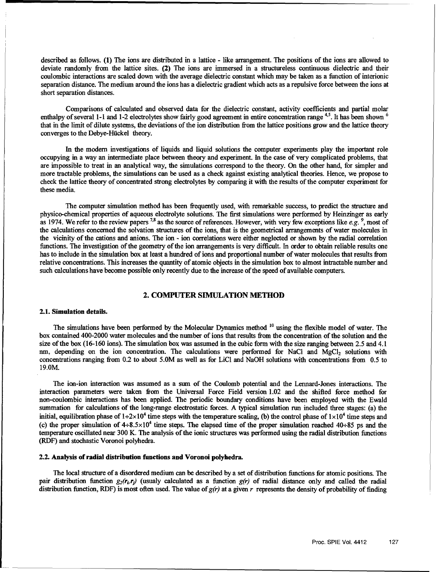described as follows. **(1)** The ions are distributed in a lattice **-** like arrangement. The positions of the ions are allowed to deviate randomly from the lattice sites. (2) The ions are immersed in a structureless continuous dielectric and their coulombic interactions are scaled down with the average dielectric constant which may be taken as a function of interionic separation distance. The medium around the ions has a dielectric gradient which acts as a repulsive force between the ions at short separation distances.

Comparisons of calculated and observed data for the dielectric constant, activity coefficients and partial molar enthalpy of several 1-1 and 1-2 electrolytes show fairly good agreement in entire concentration range <sup>4,5</sup>. It has been shown <sup>6</sup> that in the limit of dilute systems, the deviations of the ion distribution from the lattice positions grow and the lattice theory converges to the Debye-Hfickel theory.

In the modem investigations of liquids and liquid solutions the computer experiments play the important role occupying in a way an intermediate place between theory and experiment. In the case of very complicated problems, that are impossible to treat in an analytical way, the simulations correspond to the theory. On the other hand, for simpler and more tractable problems, the simulations can be used as a check against existing analytical theories. Hence, we propose to check the lattice theory of concentrated strong electrolytes **by** comparing it with the results of the computer experiment for these media.

The computer simulation method has been frequently used, with remarkable success, to predict the structure and physico-chernical properties of aqueous electrolyte solutions. The first simulations were performed **by** Heinzinger as early as 1974. We refer to the review papers **7,8** as the source of references. However, with very few exceptions like e.g. **9,** most of the calculations concerned the solvation structures of the ions, that is the geometrical arrangements of water molecules in the vicinity of the cations and anions. The ion - ion correlations were either neglected or shown **by** the radial correlation functions. The investigation of the geometry of the ion arrangements is very difficult. In order to obtain reliable results one has to include in the simulation box at least a hundred of ions and proportional number of water molecules that results from relative concentrations. This increases the quantity of atomic objects in the simulation box to almost intractable number and such calculations have become possible only recently due to the increase of the speed of available computers.

#### **2. COMPUTER SIMULATION METHOD**

#### **2.1. Simulation details.**

The simulations have been performed **by** the Molecular Dynamics method **10** using the flexible model of water. The box contained 400-2000 water molecules and the number of ions that results from the concentration of the solution and the size of the box **(16-160** ions). The simulation box was assumed in the cubic form with the size ranging between **2.5** and 4.1 nm, depending on the ion concentration. The calculations were performed for NaCl and MgCl<sub>2</sub> solutions with concentrations ranging from 0.2 to about **5.OM** as well as for LiCl and NaOH solutions with concentrations from **0.5** to **19.OM.**

The ion-ion interaction was assumed as a sum of the Coulomb potential and the Lennard-Jones interactions. The interaction parameters were taken from the Universal Force Field version 1.02 and the shifted force method for non-coulombic interactions has been applied. The periodic boundary conditions have been employed with the Ewald summation for calculations of the long-range electrostatic forces. **A** typical simulation **run** included three stages: (a) the initial, equilibration phase of  $1+2\times10^4$  time steps with the temperature scaling, (b) the control phase of  $1\times10^4$  time steps and (c) the proper simulation of 4+8.5x **104** time steps. The elapsed time of the proper simulation reached **40+85** ps and the temperature oscillated near **300** K. The analysis of the ionic structures was performed using the radial distribution functions (RDF) and stochastic Voronoi polyhedra.

#### 2.2. **Analysis of radial distribution functions and Voronoi polyhedra.**

The local structure of **a** disordered medium can be described **by** a set of distribution functions for atomic positions. The pair distribution function  $g_2(r_i,r_j)$  (usualy calculated as a function  $g(r)$  of radial distance only and called the radial distribution function, RDF) is most often used. The value of  $g(r)$  at a given r represents the density of probability of finding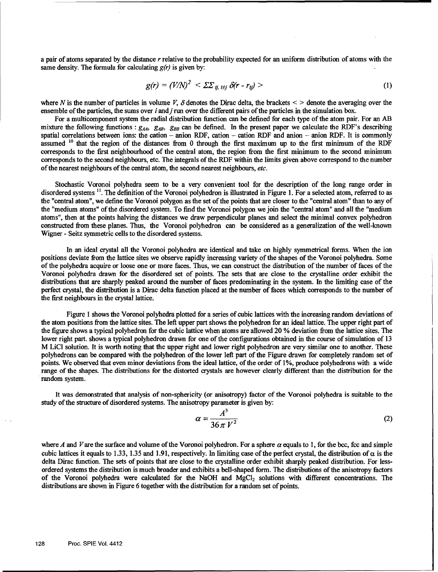a pair of atoms separated **by** the distance r relative to the probability expected for an uniform distribution of atoms with the same density. The formula for calculating  $g(r)$  is given by:

$$
g(r) = (V/N)^2 < \Sigma \Sigma_{ij, i \neq j} \, \delta(r - r_{ij}) > \tag{1}
$$

where N is the number of particles in volume V,  $\delta$  denotes the Dirac delta, the brackets  $\leq$  2 denote the averaging over the ensemble of the particles, the sums over  $i$  and  $j$  run over the different pairs of the particles in the simulation box.

For a multicomponent system the radial distribution function can be defined for each type of the atom pair. For an AB mixture the following functions :  $g_{AA}$ ,  $g_{BB}$  can be defined. In the present paper we calculate the RDF's describing spatial correlations between ions: the cation - anion RDF, cation - cation RDF and anion - anion RDF. It is commonly assumed <sup>10</sup> that the region of the distances from 0 through the first maximum up to the first minimum of the RDF corresponds to the first neighbourhood of the central atom, the region from the first minimum to the second minimum corresponds to the second neighbours, etc. The integrals of the RDF within the limits given above correspond to the number of the nearest neighbours of the central atom, the second nearest neighbours, etc.

Stochastic Voronoi polyhedra seem to be a very convenient tool for the description of the long range order in disordered systems <sup>11</sup>. The definition of the Voronoi polyhedron is illustrated in Figure 1. For a selected atom, referred to as the "central atom", we define the Voronoi polygon as the set of the points that are closer to the "central atom" than to any of the "medium atoms" of the disordered system. To find the Voronoi polygon we join the "central atom" and all the "medium atoms", then at the points halving the distances we draw perpendicular planes and select the minimal convex polyhedron constructed from these planes. Thus, the Voronoi polyhedron can be considered as a generalization of the well-known Wigner - Seitz symmetric cells to the disordered systems.

In an ideal crystal all the Voronoi polyhedra are identical and take on highly symmetrical forms. When the ion positions deviate from the lattice sites we observe rapidly increasing variety of the shapes of the Voronoi polyhedra. Some of the polyhedra acquire or loose one or more faces. Thus, we can construct the distribution of the number of faces of the Voronoi polyhedra drawn for the disordered set of points. The sets that are close to the crystalline order exhibit the distributions that are sharply peaked around the number of faces predominating in the system. In the limiting case of the perfect crystal, the distribution is a Dirac delta function placed at the number of faces which corresponds to the number of the first neighbours in the crystal lattice.

Figure **I** shows the Voronoi polyhedra plotted for a series of cubic lattices with the increasing random deviations of the atom positions from the lattice sites. The left upper part shows the polyhedron for an ideal lattice. The upper right part of the figure shows a typical polyhedron for the cubic lattice when atoms are allowed 20 % deviation from the lattice sites. The lower right part. shows a typical polyhedron drawn for one of the configurations obtained in the course of simulation of 13 M LiCl solution. It is worth noting that the upper right and lower right polyhedron are very similar one to another. These polyhedrons can be compared with the polyhedron of the lower left part of the Figure drawn for completely random set of points. We observed that even minor deviations from the ideal lattice, of the order of 1%, produce polyhedrons with a wide range of the shapes. The distributions for the distorted crystals are however clearly different than the distribution for the random system.

It was demonstrated that analysis of non-sphericity (or anisotropy) factor of the Voronoi polyhedra is suitable to the study of the structure of disordered systems. The anisotropy parameter is given **by:**

$$
\alpha = \frac{A^3}{36\,\pi\,V^2} \tag{2}
$$

where A and V are the surface and volume of the Voronoi polyhedron. For a sphere  $\alpha$  equals to 1, for the bcc, fcc and simple cubic lattices it equals to 1.33, 1.35 and 1.91, respectively. In limiting case of the perfect crystal, the distribution of  $\alpha$  is the delta Dirac function. The sets of points that are close to the crystalline order exhibit sharply peaked distribution. For lessordered systems the distribution is much broader and exhibits a bell-shaped form. The distributions of the anisotropy factors of the Voronoi polyhedra were calculated for the NaOH and MgC12 solutions with different concentrations. The distributions are shown in Figure 6 together with the distribution for a random set of points.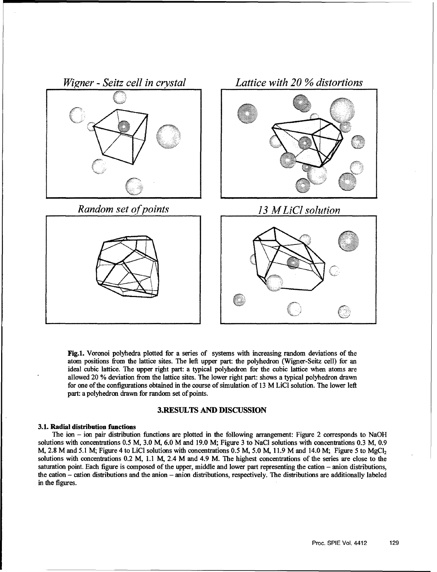

**Fig.l.** Voronoi polyhedra plotted for a series of systems with increasing random deviations of the atom positions from the lattice sites. The left upper part: the polyhedron (Wigner-Seitz cell) for an ideal cubic lattice. The upper right part: a typical polyhedron for the cubic lattice when atoms are allowed 20 % deviation from the lattice sites. The lower right part: shows a typical polyhedron drawn for one of the configurations obtained in the course of simulation of 13 M LiC1 solution. The lower left part: a polyhedron drawn for random set of points.

#### **3.RESULTS AND DISCUSSION**

#### **3.1.** Radial distribution functions

The ion **-** ion pair distribution functions are plotted in the following arrangement: Figure 2 corresponds to NaOH solutions with concentrations **0.5** M, **3.0 M, 6.0** M and **19.0** M; Figure **3** to NaCl solutions with concentrations **0.3** M, **0.9** M, **2.8** M and **5.1** K Figure 4 to LiCl solutions with concentrations **0.5** M, **5.0 , 11.9** M and 14.0 M; Figure 5 to **MgC <sup>2</sup>** solutions with concentrations 0.2 M, 1.1 M, 2.4 M and 4.9 M. The highest concentrations of the series are close to the saturation point. Each figure is composed of the upper, middle and lower part representing the cation **-** anion distributions, the cation – cation distributions and the anion – anion distributions, respectively. The distributions are additionally labeled in the figures.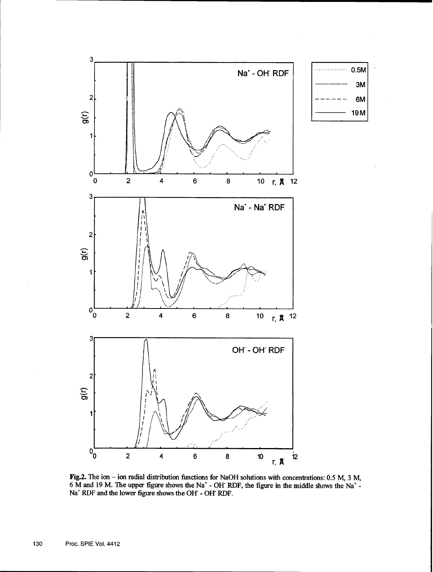

0.5M

 $3M$ 

6M

19<sub>M</sub>

Fig.2. The ion – ion radial distribution functions for NaOH solutions with concentrations:  $0.5$  M,  $3$  M, 6 M and 19 M. The upper figure shows the Na<sup>+</sup> - OH' RDF, the figure in the middle shows the Na<sup>+</sup> -Na<sup>+</sup> RDF and the lower figure shows the OH - OH RDF.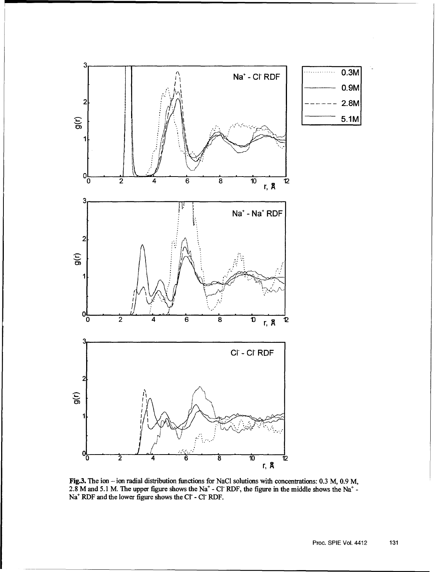

Fig.3. The ion - ion radial distribution functions for NaCl solutions with concentrations: 0.3 M, 0.9 M, 2.8 M and 5.1 M. The upper figure shows the  $Na<sup>+</sup>$  - Cl<sup>-</sup> RDF, the figure in the middle shows the Na<sup>+</sup> -Na<sup>+</sup> RDF and the lower figure shows the Cl<sup>+</sup> - Cl<sup>+</sup> RDF.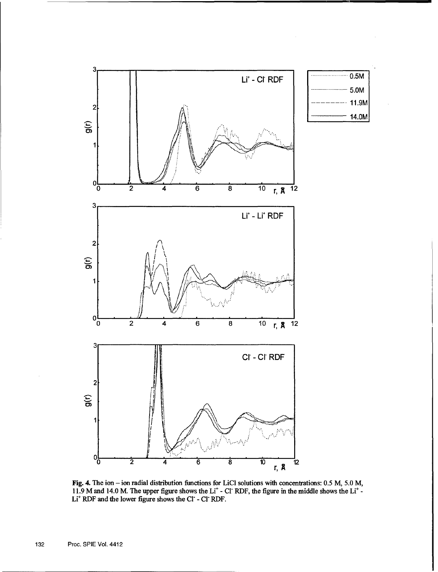

Fig. 4. The ion - ion radial distribution functions for LiCl solutions with concentrations: 0.5 M, 5.0 M, 11.9 M and 14.0 M. The upper figure shows the Li<sup>+</sup> - Cl<sup>+</sup> RDF, the figure in the middle shows the Li<sup>+</sup> -Li<sup>+</sup> RDF and the lower figure shows the Cl<sup>-</sup> - Cl<sup>-</sup> RDF.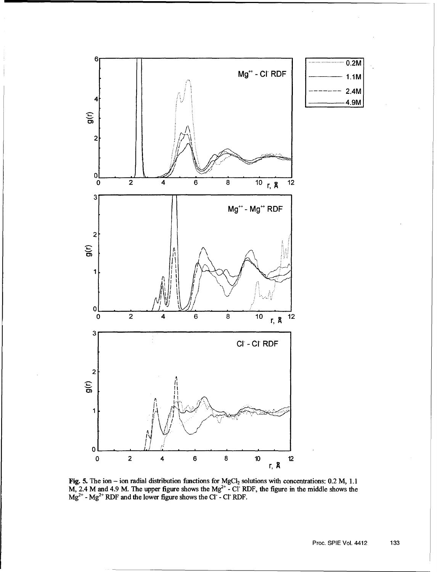

Fig. 5. The ion – ion radial distribution functions for MgCl<sub>2</sub> solutions with concentrations: 0.2 M, 1.1 M, 2.4 M and 4.9 M. The upper figure shows the Mg<sup>2+</sup> - Cl<sup>2</sup> RDF, the figure in the middle shows the Mg<sup>2+</sup> - Mg<sup>2</sup>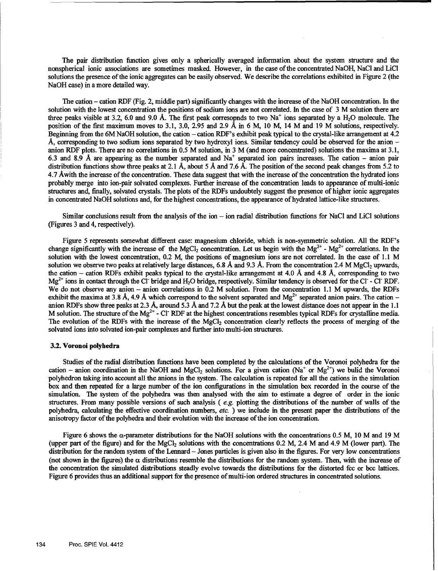The pair distribution function gives only a spherically averaged information about the system structure and the nonspherical ionic associations are sometimes masked. However, in the case of the concentrated NaOH, NaCI and LiCl solutions the presence of the ionic aggregates can be easily observed. We describe the correlations exhibited in Figure 2 (the NaOH case) in a more detailed way.

The cation - cation RDF (Fig. 2, middle part) significantly changes with the increase of the NaOH concentration. In the solution with the lowest concentration the positions of sodium ions are not correlated. In the case of 3 M solution there are three peaks visible at 3.2, 6.0 and 9.0 Å. The first peak corresopnds to two  $Na<sup>+</sup>$  ions separated by a  $H<sub>2</sub>O$  molecule. The position of the first maximum moves to 3.1, 3.0, 2.95 and 2.9 **A** in 6 **M,** 10 **M,** 14 M and 19 M solutions, respectively. Beginning from the 6M NaOH solution, the cation  $-cation RDF$ 's exhibit peak typical to the crystal-like arrangement at 4.2 **A,** corresponding to two sodium ions separated by two hydroxyl ions. Similar tendency could be observed for the anion  anion RDF plots. There are no correlations in 0.5 M solution, in 3 M (and more concentrated) solutions the maxima at 3.1, 6.3 and 8.9 Å are appearing as the number separated and  $Na<sup>+</sup>$  separated ion pairs increases. The cation – anion pair distribution functions show three peaks at 2.1 **A,** about *5* **A** and 7.6 **A.** The position of the second peak changes from *5.2* to 4.7 Awith the increase of the concentration. These data suggest that with the increase of the concentration the hydrated ions probably merge into ion-pair solvated complexes. Further increase of the concentration leads to appearance of multi-ionic structures and, finally, solvated crystals. The plots of the RDFs undoubtely suggest the presence of higher ionic aggregates in concentrated NaOH solutions and, for the highest concentrations, the appearance of hydrated lattice-like structures.

Similar conclusions result from the analysis of the ion **-** ion radial distribution functions for NaCl and LiCl solutions (Figures **3** and 4, respectively).

Figure 5 represents somewhat different case: magnesium chloride, which is non-symmetric solution. **All** the RDF's change significantly with the increase of the MgCl<sub>2</sub> concentration. Let us begin with the Mg<sup>2+</sup> - Mg<sup>2+</sup> correlations. In the solution with the lowest concentration, 0.2 **M,** the positions of magnesium ions are not correlated. In the case of **1. 1** M solution we observe two peaks at relatively large distances, **6.8 A** and **9.3 A.** From the concentration 2.4 M **MgCI <sup>2</sup>**upwards, the cation **-** cation RDFs exhibit peaks typical to the crystal-like arrangement at 4.0 **A** and 4.8 **A,** corresponding to two **Mg 2+** ions in contact through the **Cl-** bridge and H20 bridge, respectively. Similar tendency is observed for the **CI" - CI"** RDF. We do not observe any anion – anion correlations in 0.2 M solution. From the concentration 1.1 M upwards, the RDFs exhibit the maxima at 3.8 Å, 4.9 Å which correspond to the solvent separated and Mg<sup>2+</sup> separated anion pairs. The cation  $$ anion RDFs show three peaks at **2.3 A,** around **5.3 A** and **7.2 A** but the peak at the lowest distance does not appear in the **1.1** M solution. The structure of the Mg<sup>2+</sup> - CI<sup>-</sup> RDF at the highest concentrations resembles typical RDFs for crystalline media. The evolution of the RDFs with the increase of the **MgC12** concentration clearly reflects the process of merging of the solvated ions into solvated ion-pair complexes and further into multi-ion structures.

#### **3.2. Voronoi polyhedra**

Studies of the radial distribution functions have been completed by the calculations of the Voronoi polyhedra for the cation – anion coordination in the NaOH and MgCl<sub>2</sub> solutions. For a given cation (Na<sup>+</sup> or Mg<sup>2+</sup>) we bulid the Voronoi polyhedron taking into account all the anions in the system. The calculation is repeated for all the cations in the simulation box and then repeated for a large number of the ion configurations in the simulation box recorded in the course of the simulation. The system of the polyhedra was then analysed with the aim to estimate a degree of order in the ionic structures. From many possible versions of such analysis ( $e.g.$  plotting the distributions of the number of walls of the polyhedra, calculating the effective coordination numbers, etc. *)* we include in the present paper the distributions of the anisotropy factor of the polyhedra and their evolution with the increase of the ion concentration.

Figure 6 shows the a-parameter distributions for the NaOH solutions with the concentrations 0.5 M, **10** M and **19** M (upper part of the figure) and for the MgCI2 solutions with the concentrations 0.2 **M,** 2.4 M and 4.9 M (lower part). The distribution for the random system of the Lennard – Jones particles is given also in the figures. For very low concentrations (not shown in the figures) the  $\alpha$  distributions resemble the distributions for the random system. Then, with the increase of the concentration the simulated distributions steadly evolve towards the distributions for the distorted fcc or bcc lattices. Figure 6 provides thus an additional support for the presence of multi-ion ordered structures in concentrated solutions.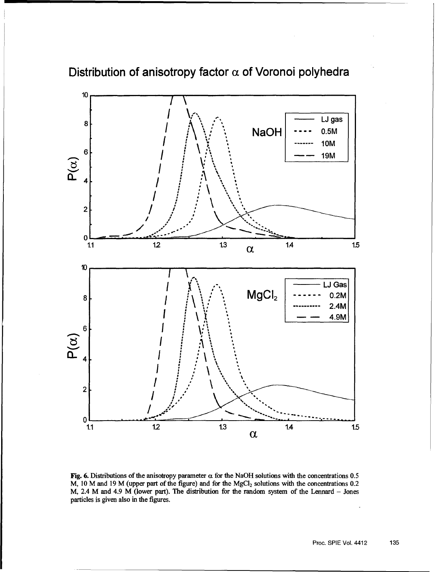

**Distribution of anisotropy factor a of Voronoi polyhedra**

**Fig. 6.** Distributions of the anisotropy parameter  $\alpha$  for the NaOH solutions with the concentrations 0.5  $M$ , 10 M and 19 M (upper part of the figure) and for the MgCl<sub>2</sub> solutions with the concentrations 0.2 M, 2.4 M and 4.9 M (lower part). The distribution for the random system of the Lennard - Jones particles is given also in the figures.